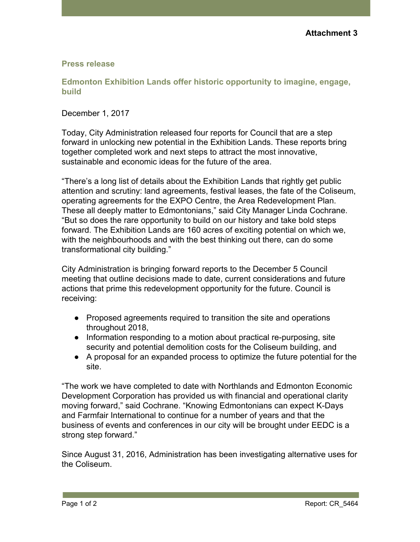## **Press release**

**Edmonton Exhibition Lands offer historic opportunity to imagine, engage, build**

December 1, 2017

Today, City Administration released four reports for Council that are a step forward in unlocking new potential in the Exhibition Lands. These reports bring together completed work and next steps to attract the most innovative, sustainable and economic ideas for the future of the area.

"There's a long list of details about the Exhibition Lands that rightly get public attention and scrutiny: land agreements, festival leases, the fate of the Coliseum, operating agreements for the EXPO Centre, the Area Redevelopment Plan. These all deeply matter to Edmontonians," said City Manager Linda Cochrane. "But so does the rare opportunity to build on our history and take bold steps forward. The Exhibition Lands are 160 acres of exciting potential on which we, with the neighbourhoods and with the best thinking out there, can do some transformational city building."

City Administration is bringing forward reports to the December 5 Council meeting that outline decisions made to date, current considerations and future actions that prime this redevelopment opportunity for the future. Council is receiving:

- Proposed agreements required to transition the site and operations throughout 2018,
- Information responding to a motion about practical re-purposing, site security and potential demolition costs for the Coliseum building, and
- A proposal for an expanded process to optimize the future potential for the site.

"The work we have completed to date with Northlands and Edmonton Economic Development Corporation has provided us with financial and operational clarity moving forward," said Cochrane. "Knowing Edmontonians can expect K-Days and Farmfair International to continue for a number of years and that the business of events and conferences in our city will be brought under EEDC is a strong step forward."

Since August 31, 2016, Administration has been investigating alternative uses for the Coliseum.